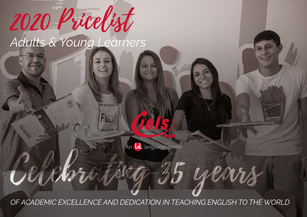# *Adults & Young Learners* 2020 Pricelist

*OF ACADEMIC EXCELLENCE AND DEDICATION IN TEACHING ENGLISH TO THE WORLD*

An (lab language centre.

Celebrating 35 years

**IY PURRISE** 

FUEL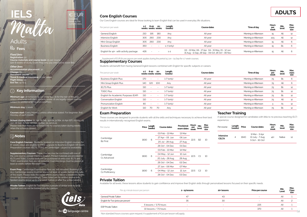

#### **Core English Courses**

€ EUR including<br>taxes at the current rates.

Our Core English courses are ideal for those looking to learn English that can be used in everyday life situations.

| Per person per week                   | 1-7 | 8-20<br>weeks weeks weeks | $21+$                    | Length<br>(weeks) | Course dates                                                                                             | Time of dav          | Hours<br>per<br>week | Min.<br>level | Max.<br>class<br>size |
|---------------------------------------|-----|---------------------------|--------------------------|-------------------|----------------------------------------------------------------------------------------------------------|----------------------|----------------------|---------------|-----------------------|
| General English                       | 210 | 195                       | 180                      | An                | All vear                                                                                                 | Morning or Afternoon | 15                   | All           | 12                    |
| Intensive English                     | 305 | 260                       | 230                      | Any               | All vear                                                                                                 | Morning or Afternoon | 22.5                 | All           | 12                    |
| Mini-Group English                    | 305 | 260                       | <b>230</b>               | Anv               | All vear                                                                                                 | Morning or Afternoon | 15                   | All           | 6                     |
| <b>Business English</b>               | 350 | $\sim$                    | $\overline{\phantom{a}}$ | $1-7$ (only)      | All vear                                                                                                 | Morning or Afternoon | 15                   | Β1            | 6                     |
| English for 40+ with activity package | 426 | $\sim$                    | $\overline{\phantom{a}}$ | $1 - 2$           | 02 - 13 Mar, 06 - 17 Apr, 04 - 15 May, 01 - 12 Jun,<br>31 Aug - 11 Sep, 28 Sep - 09 Oct, 26 Oct - 06 Nov | Morning or Afternoon | 15                   | All           | 6                     |

Supplement of EUR 60 per person per week applies during the period 15 Jun - 04 Sep for 1-7 week courses.

#### **Supplementary Courses**

Students will benefit from having General English lessons combined with English for specific subjects or careers.

| Per person per week                 | $1 - 7$ | 8-20                     | $21+$<br>weeks weeks weeks | Length<br>(weeks) | Course dates | Time of day          | <b>Hours</b><br>per<br>week | Min.<br>level  | Max.<br>class<br>size |
|-------------------------------------|---------|--------------------------|----------------------------|-------------------|--------------|----------------------|-----------------------------|----------------|-----------------------|
| <b>Business English Plus</b>        | 170     | $\overline{\phantom{a}}$ | $\sim$                     | $1-7$ (only)      | All year     | Morning or Afternoon | 7.5                         | <b>B1</b>      | 6                     |
| Mini Group English Plus             | 140     | 120                      | 100                        | Any               | All year     | Morning or Afternoon | 75                          | All            | 6                     |
| <b>IELTS Plus</b>                   | 110     | $\overline{\phantom{a}}$ | $\sim$                     | $1-7$ (only)      | All year     | Morning or Afternoon | 7.5                         | <b>B1</b>      | 12                    |
| <b>TOFIC Plus</b>                   | 110     | $\sim$                   | $\overline{\phantom{0}}$   | $1-7$ (only)      | All year     | Morning or Afternoon | 7.5                         | <b>B1</b>      | 12                    |
| English for Academic Purposes (EAP) | 110     |                          | $\sim$                     | $1-7$ (only)      | All year     | Morning or Afternoon | 7.5                         | <b>B1</b>      | 12                    |
| <b>Conversation English</b>         | 110     | $\overline{\phantom{a}}$ | $\overline{\phantom{0}}$   | $1-7$ (only)      | All year     | Morning or Afternoon | 7.5                         | All            | 12                    |
| Pronunciation English               | 80      | $\overline{\phantom{a}}$ | $\sim$                     | $1-7$ (only)      | All year     | Morning or Afternoon |                             | A <sub>1</sub> | 12                    |
| English for Work                    | 110     | 70                       | 70                         | Any               | All year     | Morning or Afternoon | 7.5                         | <b>B1</b>      | 12                    |

### **Exam Preparation**

These courses are designed to provide students with all the skills and techniques necessary to achieve their best results in internationally-recognised English exams.

| Per course                              | Price | Length<br>(weeks) | Course dates     | Provisional<br>exam dates | Hours<br>per<br>week | Min<br>level   | Max<br>class<br>size |
|-----------------------------------------|-------|-------------------|------------------|---------------------------|----------------------|----------------|----------------------|
|                                         |       |                   | 03 Feb - 13 Mar  | 13 Mar                    |                      |                |                      |
| Cambridge                               | 1830  | 6                 | 27 Apr - 05 Jun  | 06 Jun                    | 22.5                 | <b>B2</b>      | 10                   |
| B <sub>2</sub> First                    |       |                   | 20 Jul - 28 Aug  | 27 Aug                    |                      |                |                      |
|                                         |       |                   | 26 Oct - 04 Dec  | 01 Dec                    |                      |                |                      |
|                                         |       |                   | 03 Feb - 13 Mar  | 14 Mar                    |                      | C1             |                      |
| Cambridge                               | 1830  | 6                 | 04 May - 12 Jun  | 10 Jun                    | 22.5                 |                | 10 <sup>2</sup>      |
| C <sub>1</sub> Advanced                 |       |                   | 20 July - 28 Aug | 28 Aug                    |                      |                |                      |
|                                         |       |                   | 26 Oct - 04 Dec  | 02 Dec                    |                      |                |                      |
|                                         |       |                   | 27 Jan - 06 Mar  | 07 Mar                    |                      | C <sub>2</sub> |                      |
| Cambridge<br>C <sub>2</sub> Proficiency | 1830  | 6                 | 04 May - 12 Jun  | 12 Jun                    | 22.5                 |                | 10                   |
|                                         |       |                   | 26 Oct - 04 Dec  | 03 Dec                    |                      |                |                      |

### **Teacher Training**

A special course designed for candidates with little to no previous teaching (ELT) experience.

| Per course                | Length<br>(weeks) | Price | Course dates                                       | <b>Hours</b><br>per<br>week | Min.<br>level | Max.<br>class<br>size |
|---------------------------|-------------------|-------|----------------------------------------------------|-----------------------------|---------------|-----------------------|
| Intensive<br><b>CELTA</b> | 4                 | 1640  | 9 Mar - 3 Apr<br>13 July - 7 Aug<br>5 Oct - 30 Oct | 40+                         | <b>Native</b> | 12                    |

#### **Private Tuition**

Available for all levels, these lessons allow students to gain confidence and improve their English skills through personalised lessons focused on their specific needs.

|                                    | Per 45-minute lesson per person | 2 - 19 lessons           | 20+ lessons              | Price per course | Min.<br>Level | Max.<br>Class<br>size |
|------------------------------------|---------------------------------|--------------------------|--------------------------|------------------|---------------|-----------------------|
| General Private Tuition            |                                 | 47                       | 43                       |                  | All           |                       |
| English for Two (price per person) |                                 | 35                       | 30                       |                  | All           |                       |
|                                    | 5 lessons / 3.75 hours          |                          | $\overline{\phantom{a}}$ | 225              | All           |                       |
| <b>ESP Private Tuition</b>         | 10 lessons / 7.5 hours          | $\overline{\phantom{0}}$ | $\overline{\phantom{a}}$ | 370              | Αll           |                       |

Non standard hours courses upon request. A supplement of €20 per lesson will apply.

### Adults

**IELS**

Malta

**Fees**

### *Fixed fees:* **Registration:** 50

**Course materials and course book:** 25 per course (per 8 weeks of study. Exam Prep only pay one course book

*Other fees:*

**Accommodation placement:** 30 **Change:** 60 **Document courier:** 70 **Travel & medical insurance:** 10 per v

**Flight Delay:** 20 **Eco Tax:** up to 5

### **Key information**

**Minimum age:** 18 between 15 Jun to 04 Sep. 16 for the rest of the year<br>unless otherwise indicated; students under 18 are legally minors and are<br>subject to additional terms and conditions

**Minimum stay:** 1 week

**Courses start:** Every Monday unless otherwise stated. For beginner, first Monday of each month

**School closing dates:** 01 Jan, 10 Feb, 19 Mar, 31 Mar, 10 Apr (GF), 01 May, 29 Jun, 08 Sep, 21 Sep, 08 Dec, 25 Dec, 01 Jan 2021 Please note that there are no reductions for courses taken during weeks when the school is closed.

### **Notes**

**Core English Courses:** Students booked on Intensive English courses for 8+ weeks stays are eligible to FREE upgrade to Business English OR Exam Preparation courses (IELTS, TOEIC or Cambridge), subject to availability.

**Supplementary Courses:** These courses may be combined with one of the core courses except Intensive English. Printed materials are provided for IELTS and TOEIC. Course book can be purchased at extra cost. IELTS and TOEIC examination fees are not included. Exam bookings must be placed at least 10 weeks before the exam date.

**Exam Prep:** Cambridge Examination fees are not included. Bookings for ALL Cambridge exams must be placed at least 10 weeks before the date<br>of the exam. Please note the dates where exams fall on a weekend, flights<br>should be booked accordingly. Dates listed are for written exams only. Spoken exams occur up to one week before or after the written exams.

**Private Tuition:** English for Two requires 2 people of similar level to book together and can not be booked only by 1 person.

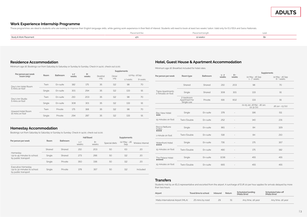### **Work Experience Internship Programme**

These programmes are ideal to students who are looking to improve their English language skills, while gaining work experience in their field of interest. Students will need to book at least two weeks' tuiton. Valid only f

|                        | Placement fel<br>$-1$ | Placement le | Leve |
|------------------------|-----------------------|--------------|------|
| Study & Work Placement |                       | 12 weeks+    |      |
|                        |                       |              |      |

### **Residence Accommodation**

Minimum age 18. Bookings run from Saturday to Saturday or Sunday to Sunday. Check in 14.00, check out 11.00.

|                                        |        | Bathroom |                  |               | Supplements      |        |                 |         |  |
|----------------------------------------|--------|----------|------------------|---------------|------------------|--------|-----------------|---------|--|
| Per person per week<br>(room only)     | Room   |          | $1 - 7$<br>weeks | $8+$<br>weeks | <b>Breakfast</b> | Dinner | 02 May - 26 Sep |         |  |
|                                        |        |          |                  |               | only             | only   | 1-7 weeks       | 8+weeks |  |
| Day's Inn Hotel Room<br>5 mins on foot | Twin   | Fn-suite | 182              | 175           | 35               | 112    | 98              | 70      |  |
|                                        | Single | En-suite | 301              | 294           | 35               | 112    | 133             | 91      |  |
| Day's Inn Studio<br>5 mins on foot     | Twin   | En-suite | 210              | 203           | 35               | 112    | 98              | 70      |  |
|                                        | Single | En-suite | 308              | 301           | 35               | 112    | 133             | 91      |  |
| Howard Hotel Room<br>15 mins on foot   | Twin   | Private  | 175              | 168           | 35               | 112    | 98              | 70      |  |
|                                        | Single | Private  | 294              | 287           | 35               | 112    | 133             | 91      |  |

### **Homestay Accommodation**

Bookings run from Saturday to Saturday or Sunday to Sunday. Check in 14.00, check out 11.00.

|                                                                         |        |          |                  | <b>Half Board</b> |               | Supplements        |                   |  |  |
|-------------------------------------------------------------------------|--------|----------|------------------|-------------------|---------------|--------------------|-------------------|--|--|
| Per person per week                                                     | Room   | Bathroom | $1 - 7$<br>weeks | $8+$<br>weeks     | Special diets | 02 May - 26<br>Sep | Wireless Internet |  |  |
| Homestay<br>Up to 45 minutes to school<br>by public transport           | Shared | Shared   | 210              | 203               | 50            | 63                 | 20                |  |  |
|                                                                         | Single | Shared   | 273              | 266               | 50            | 112                | 20                |  |  |
|                                                                         | Single | Private  | 350              | 336               | 50            | 112                | 20                |  |  |
| Executive Homestay<br>Up to 30 minutes to school<br>by public transport | Single | Private  | 378              | 357               | 50            | 112                | Included          |  |  |

### **Hotel, Guest House & Apartment Accommodation**

Minimum age 18. Breakfast included for hotel rates.

|                                       |                                          |          |                  | $8 +$ | Supplements                              |                                 |
|---------------------------------------|------------------------------------------|----------|------------------|-------|------------------------------------------|---------------------------------|
| Per person per week                   | Room type                                | Bathroom | $1 - 7$<br>weeks | weeks | 02 May - 26 Sep<br>$1 - 7$ weeks         | 02 May - 26 Sep<br>$8 + wee$ ks |
|                                       | Shared                                   | Shared   | 210              | 203   | 98                                       | 70                              |
| Tigne Apartments<br>2 minutes on foot | Single                                   | Shared   | 308              | 301   | 133                                      | 91                              |
|                                       | 2-bedroom<br>Apartment for<br>Single use | Private  | 616              | 602   | 133                                      | 91                              |
|                                       |                                          |          |                  |       | 01-05 Jan, 28 Mar - 28 Jun,<br>02-31 Oct | 28 Jun - 03 Oct                 |
| Bay View Hotel<br>$\hat{H}$ $\hat{H}$ | Single                                   | En-suite | 378              | ÷,    | 196                                      | 511                             |
| 15 minutes on foot                    | Twin/Double                              | En-suite | 252              |       | 140                                      | 231                             |
| Rocca Nettuno<br>Suites<br>0.0000     | Single                                   | Fn-suite | 861              |       | 84                                       | 329                             |
| 1 minute on foot                      | Twin/Double                              | En-suite | 518              |       | 84                                       | 210                             |
| Waterfront Hotel<br>☆☆☆☆              | Single                                   | En-suite | 735              |       | 175                                      | 357                             |
| 15 minutes on foot                    | Twin/Double                              | Fn-suite | 490              |       | 175                                      | 182                             |
| The Palace Hotel<br><b>☆☆☆☆☆</b>      | Single                                   | En-suite | 1036             | ÷,    | 455                                      | 455                             |
| 15 minutes on foot                    | Twin/Double                              | En-suite | 665              |       | 455                                      | 455                             |

#### **Transfers**

Students met by an IELS representative and escorted from the airport. A surcharge of EUR 20 per hour applies for arrivals delayed by more than two hours.

| Airport                           | Travel time to school | Return<br>Inbound |    | Scheduled landing<br>(Malta time) | Scheduled take-off<br>(Malta time) |  |
|-----------------------------------|-----------------------|-------------------|----|-----------------------------------|------------------------------------|--|
| Malta International Airport (MLA) | 25 mins by road       | 29                | 51 | Any time, all year                | Any time, all year                 |  |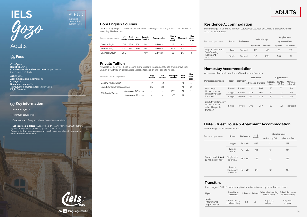

## **IELS** ADULTS Gozo

Adults

### **Fees**

*Fixed fees:* **Registration:** 50 **Course materials and course book:** 25 per course (per 8 weeks of study)

*Other fees:* **Accommodation placement:** 30 **Change:** 60 **Document courier:** 70 **Travel & medical insurance:** 10 per week **Flight Delay:** 20

### **Key information**

• **Minimum age:** 18

• **Minimum stay:** 1 week

• **Courses start:** Every Monday unless otherwise stated.

• **School closing dates:** 01 Jan, 10 Feb, 19 Mar, 31 Mar, 10 Apr (Gf), 01 May, 29 Jun, 08 Sep, 21 Sep, 08 Dec, 25 Dec, 01 Jan 2021 Please note that there are no reductions for courses taken during weeks when the school is closed.

### **Core English Courses**

Our Everyday English courses are ideal for those looking to learn English that can be used in everyday life situations.

| Per person per week     | $1 - 7$ | 8-20                     | $21+$   | Length<br>weeks weeks weeks (weeks) | Course dates | <b>Hours</b><br>per<br>week | Min level      | Max<br>class<br>size |
|-------------------------|---------|--------------------------|---------|-------------------------------------|--------------|-----------------------------|----------------|----------------------|
| General English         | 175     | 170                      | 165     | Anv                                 | All vear     | 15                          | All            | 10                   |
| Intensive English       | 270     |                          | 260 230 | Anv                                 | All vear     | 22.5                        | All            | 10                   |
| <b>Business English</b> | 350     | $\overline{\phantom{a}}$ | $\sim$  | Anv                                 | All vear     | 15                          | B <sub>1</sub> |                      |

#### **Private Tuition**

Available for all levels, these lessons allow students to gain confidence and improve their English skills through personalised lessons focused on their specific needs.

| Price per lesson per person |                                    | Min<br>Price per<br>$2 - 19$<br>$20+$<br>level<br>lessons<br>lessons<br>course |    |     |     | Max<br>class<br>size |
|-----------------------------|------------------------------------|--------------------------------------------------------------------------------|----|-----|-----|----------------------|
| General Private Tuition     |                                    | 47                                                                             | 43 | ٠   | All |                      |
|                             | English for Two (Price per person) |                                                                                | 30 |     | All | 2                    |
|                             | 5 lessons / 3.75 hours             | ٠                                                                              | ۰  | 225 | All |                      |
| <b>FSP Private Tuition</b>  | 10 lessons / 75 hours              | ۰                                                                              | ۰  | 370 | All |                      |

### **Residence Accommodation**

Minimum age 18. Bookings run from Saturday to Saturday or Sunday to Sunday. Check in 14.00, check out 11.00.

|                                     |        | Self-catering |           | Supplements |                 |          |
|-------------------------------------|--------|---------------|-----------|-------------|-----------------|----------|
| Per person per week                 | Room   | Bathroom      |           |             | 13 Jun - 06 Sep |          |
|                                     |        |               | 1-7 weeks | 8+ weeks    | 1-7 weeks       | 8+ weeks |
| Migiarro Residence<br>Self-Catering | Twin   | Shared        | 175       | 168         | 70              | 70       |
| Apartment<br>On-site                | Single | Shared        | 245       | 238         | 140             | 91       |

### **Homestay Accommodation**

Accommodation bookings start on Saturdays and Sundays.

|                                                                        |        |          |     | Half-board         | Supplements      |                    |                             |  |
|------------------------------------------------------------------------|--------|----------|-----|--------------------|------------------|--------------------|-----------------------------|--|
| Per person per week                                                    | Room   | Bathroom |     | 1-7 weeks 8+ weeks | Special<br>diets | 02 May -<br>26 Sep | <b>Wireless</b><br>Internet |  |
| Homestay                                                               | Shared | Shared   | 210 | 203                | 50               | 63                 | 20                          |  |
| Up to 1 hour to<br>school by public                                    | Single | Shared   | 273 | 266                | 50               | 112                | 20                          |  |
| transport                                                              | Single | Private  | 350 | 336                | 50               | 112                | 20                          |  |
| Executive Homestay<br>Up to 1 hour to<br>school by public<br>transport | Single | Private  | 378 | 357                | 50               | 112                | Included                    |  |

### **Hotel, Guest House & Apartment Accommodation**

Minimum age 18. Breakfast included.

| Per person per week                    | Room                               | Bathroom | Supplements<br>$1 - 7$ |                 |                 |
|----------------------------------------|------------------------------------|----------|------------------------|-----------------|-----------------|
|                                        |                                    | weeks    |                        | 28 Jun - 03 Oct | 24 Dec - 31 Dec |
|                                        | Single                             | En-suite | 588                    | 112             | 112             |
|                                        | Twin or<br>double                  | Fn-suite | 371                    | 112             | 112             |
| Grand Hotel ☆☆☆☆<br>10 minutes by foot | Single with<br>sea view            | Fn-suite | 462                    | 112             | 112             |
|                                        | Twin or<br>double with<br>sea view | Fn-suite | 679                    | 112             | 112             |

### **Transfers**

A surcharge of EUR 20 per hour applies for arrivals delayed by more than two hours.

| Airport                                 | <b>Travel time</b><br>to school      | Inbound Return |    | Scheduled landing<br>(Malta time) | Scheduled take-<br>off (Malta time) |
|-----------------------------------------|--------------------------------------|----------------|----|-----------------------------------|-------------------------------------|
| Malta<br>International<br>Airport (MLA) | $1.5 - 2$ hours by<br>road and ferry | 63             | 95 | Any time,<br>all vear             | Any time,<br>all vear               |



€ EUR

including<br>taxes at the<br>current rates.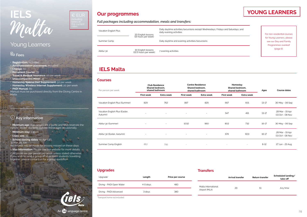

### Young Learners

### **Fees**

• **Registration:** Included

- **Accommodation placement:** Included
- **Change:** 60

• **Document Courier:** 70

• **Travel & Medical Insurance:** 10 per week

• **Unaccompanied Minor:** 35

• **Homestay Special Diet Supplement:** 50 per week

• **Homestay Wireless Internet Supplement:** 20 per week

• **PADI Manual:** 80

Manual must be purchased directly from the Diving Centre in Malta.

### **Key information**

• **Minimum age:** Age ranges are a guide and IELS reserves the right to accept students outside these ages occasionally.

• **Minimum stay:** 1 week • **Class size:** 15

• **School closing dates:** 10 Apr (GF), 31 Mar, 29 Jun.

together, please contact us for a group quotation.

No refunds will be made for lessons missed on these days.

• **Visa information:** Please see our website for more details. • All prices are per person per week unless stated otherwise. If you wish to send a group of 10 or more students travelling

### **Our programmes**

### *Full packages including accommodation, meals and transfers:*

| Vacation English Plus | 20 English lessons                          | Daily daytime activities/excursions except Wednesdays, Fridays and Saturdays, and<br>daily evening activities |                                                                             | For non-residential courses |
|-----------------------|---------------------------------------------|---------------------------------------------------------------------------------------------------------------|-----------------------------------------------------------------------------|-----------------------------|
| Summer Camp           | (15 hours per week)                         | Daily daytime and evening activities/excursions                                                               | for Young Learners, please<br>see our Day and Family<br>Programmes overleaf |                             |
| Abitur 30             | 30 English lessons<br>(22.5 hours per week) | 7 evening activities                                                                                          |                                                                             | $(page 6)$ .                |

### • **IELS Malta**

#### **Courses**

| Per person per week                       |                          | <b>Club Residence</b><br>Shared bedroom,<br>shared bathroom |                          | <b>Centre Residence</b><br>Shared bedroom,<br>shared bathroom |                          | Homestay<br>Shared bedroom,<br>shared bathroom |           | <b>Course dates</b><br>Ages        |  |
|-------------------------------------------|--------------------------|-------------------------------------------------------------|--------------------------|---------------------------------------------------------------|--------------------------|------------------------------------------------|-----------|------------------------------------|--|
|                                           | <b>First week</b>        | Extra week                                                  | <b>First week</b>        | Extra week                                                    | <b>First week</b>        | Extra week                                     |           |                                    |  |
| Vacation English Plus (Summer)            | 829                      | 762                                                         | 897                      | 829                                                           | 667                      | 601                                            | $13 - 17$ | 30 May - 06 Sep                    |  |
| Vacation English Plus (Easter,<br>Autumn) | $\overline{\phantom{a}}$ | $\sim$                                                      | $\sim$                   | $\sim$                                                        | 547                      | 491                                            | $13 - 17$ | 28 Mar - 19 Apr<br>03 Oct - 08 Nov |  |
| Abitur 30 (Summer)                        | $\overline{\phantom{a}}$ | ٠                                                           | 1032                     | 960                                                           | 802                      | 732                                            | $16 - 17$ | 30 May - 06 Sep                    |  |
| Abitur 30 (Easter, Autumn)                | $\overline{\phantom{a}}$ | $\overline{\phantom{a}}$                                    | $\sim$                   | $\sim$                                                        | 674                      | 603                                            | $16 - 17$ | 28 Mar - 19 Apr<br>03 Oct - 08 Nov |  |
| Summer Camp English                       | 867                      | 795                                                         | $\overline{\phantom{a}}$ | $\sim$                                                        | $\overline{\phantom{a}}$ | $\sim$                                         | $8 - 12$  | 27 Jun - 23 Aug                    |  |

#### **Upgrades**

| Upgrade*                 | Length   | Price per course |
|--------------------------|----------|------------------|
| Diving - PADI Open Water | 4-5 days | 480              |
| Diving - PADI Advanced   | 3 days   | 380              |

### **Transfers**

|                                      | <b>Arrival transfer</b> | <b>Return transfer</b> | Scheduled landing/<br>take-off |
|--------------------------------------|-------------------------|------------------------|--------------------------------|
| Malta International<br>Airport (MLA) | 29                      | 51                     | Any time                       |

\*Transport home not included

An **(a)** language centre

**Ciels** 

### **YOUNG LEARNERS**